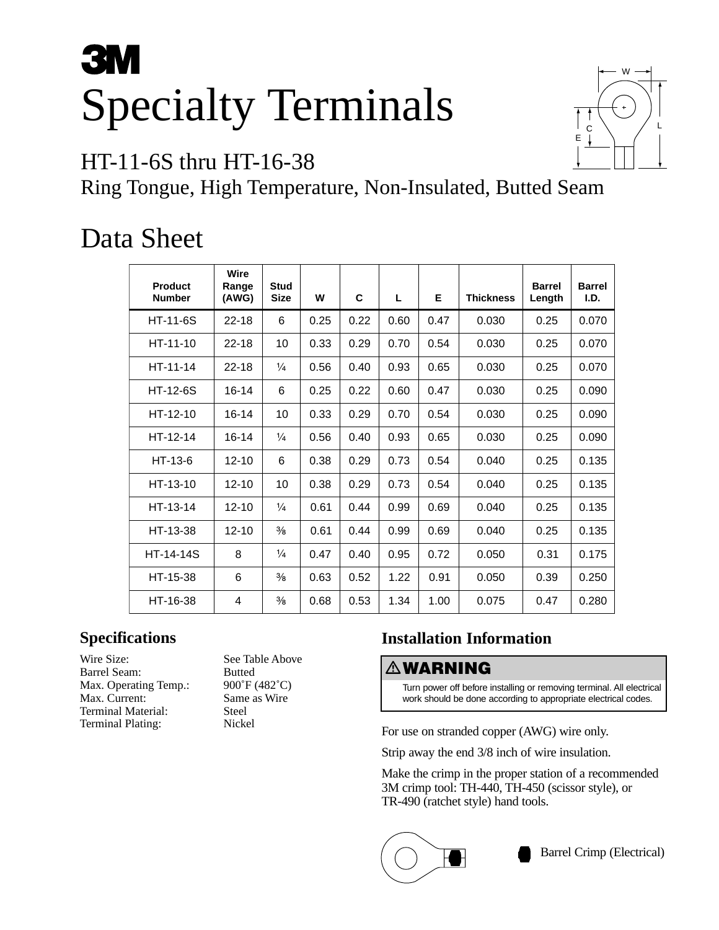# **3M** Specialty Terminals



## HT-11-6S thru HT-16-38

Ring Tongue, High Temperature, Non-Insulated, Butted Seam

# Data Sheet

| Product<br><b>Number</b> | <b>Wire</b><br>Range<br>(AWG) | <b>Stud</b><br><b>Size</b> | W    | C    | L    | Е    | <b>Thickness</b> | <b>Barrel</b><br>Length | <b>Barrel</b><br>I.D. |
|--------------------------|-------------------------------|----------------------------|------|------|------|------|------------------|-------------------------|-----------------------|
| <b>HT-11-6S</b>          | $22 - 18$                     | 6                          | 0.25 | 0.22 | 0.60 | 0.47 | 0.030            | 0.25                    | 0.070                 |
| $HT - 11 - 10$           | $22 - 18$                     | 10                         | 0.33 | 0.29 | 0.70 | 0.54 | 0.030            | 0.25                    | 0.070                 |
| $HT - 11 - 14$           | $22 - 18$                     | $\frac{1}{4}$              | 0.56 | 0.40 | 0.93 | 0.65 | 0.030            | 0.25                    | 0.070                 |
| <b>HT-12-6S</b>          | $16 - 14$                     | 6                          | 0.25 | 0.22 | 0.60 | 0.47 | 0.030            | 0.25                    | 0.090                 |
| $HT-12-10$               | $16 - 14$                     | 10                         | 0.33 | 0.29 | 0.70 | 0.54 | 0.030            | 0.25                    | 0.090                 |
| $HT-12-14$               | $16 - 14$                     | $\frac{1}{4}$              | 0.56 | 0.40 | 0.93 | 0.65 | 0.030            | 0.25                    | 0.090                 |
| $HT-13-6$                | $12 - 10$                     | 6                          | 0.38 | 0.29 | 0.73 | 0.54 | 0.040            | 0.25                    | 0.135                 |
| HT-13-10                 | $12 - 10$                     | 10                         | 0.38 | 0.29 | 0.73 | 0.54 | 0.040            | 0.25                    | 0.135                 |
| HT-13-14                 | $12 - 10$                     | $\frac{1}{4}$              | 0.61 | 0.44 | 0.99 | 0.69 | 0.040            | 0.25                    | 0.135                 |
| HT-13-38                 | $12 - 10$                     | $\frac{3}{8}$              | 0.61 | 0.44 | 0.99 | 0.69 | 0.040            | 0.25                    | 0.135                 |
| <b>HT-14-14S</b>         | 8                             | $\frac{1}{4}$              | 0.47 | 0.40 | 0.95 | 0.72 | 0.050            | 0.31                    | 0.175                 |
| HT-15-38                 | 6                             | $\frac{3}{8}$              | 0.63 | 0.52 | 1.22 | 0.91 | 0.050            | 0.39                    | 0.250                 |
| HT-16-38                 | 4                             | $\frac{3}{8}$              | 0.68 | 0.53 | 1.34 | 1.00 | 0.075            | 0.47                    | 0.280                 |

### **Specifications**

Wire Size: See Table Above Barrel Seam: Butted Max. Operating Temp.: 900°F (482°C)<br>Max. Current: Same as Wire Max. Current: Terminal Material: Steel<br>Terminal Plating: Nickel Terminal Plating:

## **Installation Information**

### -**WARNING**

Turn power off before installing or removing terminal. All electrical work should be done according to appropriate electrical codes.

For use on stranded copper (AWG) wire only.

Strip away the end 3/8 inch of wire insulation.

Make the crimp in the proper station of a recommended 3M crimp tool: TH-440, TH-450 (scissor style), or TR-490 (ratchet style) hand tools.